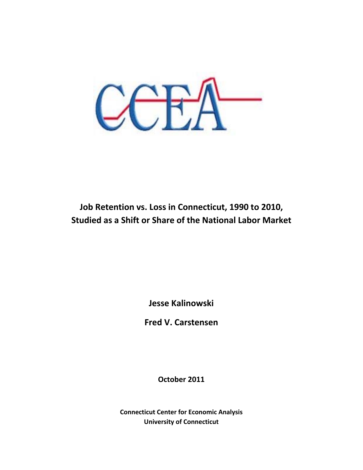

# **Job Retention vs. Loss in Connecticut, 1990 to 2010, Studied as a Shift or Share of the National Labor Market**

**Jesse Kalinowski**

**Fred V. Carstensen**

**October 2011** 

**Connecticut Center for Economic Analysis University of Connecticut**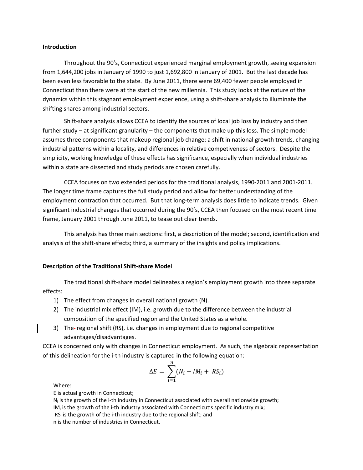#### **Introduction**

Throughout the 90's, Connecticut experienced marginal employment growth, seeing expansion from 1,644,200 jobs in January of 1990 to just 1,692,800 in January of 2001. But the last decade has been even less favorable to the state. By June 2011, there were 69,400 fewer people employed in Connecticut than there were at the start of the new millennia. This study looks at the nature of the dynamics within this stagnant employment experience, using a shift‐share analysis to illuminate the shifting shares among industrial sectors.

Shift-share analysis allows CCEA to identify the sources of local job loss by industry and then further study – at significant granularity – the components that make up this loss. The simple model assumes three components that makeup regional job change: a shift in national growth trends, changing industrial patterns within a locality, and differences in relative competiveness of sectors. Despite the simplicity, working knowledge of these effects has significance, especially when individual industries within a state are dissected and study periods are chosen carefully.

CCEA focuses on two extended periods for the traditional analysis, 1990‐2011 and 2001‐2011. The longer time frame captures the full study period and allow for better understanding of the employment contraction that occurred. But that long-term analysis does little to indicate trends. Given significant industrial changes that occurred during the 90's, CCEA then focused on the most recent time frame, January 2001 through June 2011, to tease out clear trends.

This analysis has three main sections: first, a description of the model; second, identification and analysis of the shift-share effects; third, a summary of the insights and policy implications.

#### **Description of the Traditional Shift‐share Model**

The traditional shift‐share model delineates a region's employment growth into three separate effects:

- 1) The effect from changes in overall national growth (N).
- 2) The industrial mix effect (IM), i.e. growth due to the difference between the industrial composition of the specified region and the United States as a whole.
- 3) The-regional shift (RS), i.e. changes in employment due to regional competitive advantages/disadvantages.

CCEA is concerned only with changes in Connecticut employment. As such, the algebraic representation of this delineation for the i-th industry is captured in the following equation:

$$
\Delta E = \sum_{i=1}^{n} (N_i + IM_i + RS_i)
$$

Where:

E is actual growth in Connecticut;

 $N_i$  is the growth of the i-th industry in Connecticut associated with overall nationwide growth;

- $IM<sub>i</sub>$  is the growth of the i-th industry associated with Connecticut's specific industry mix;
- $RS<sub>i</sub>$  is the growth of the i-th industry due to the regional shift; and

n is the number of industries in Connecticut.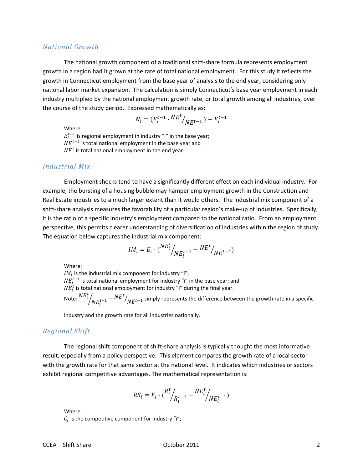# *National Growth*

The national growth component of a traditional shift‐share formula represents employment growth in a region had it grown at the rate of total national employment. For this study it reflects the growth in Connecticut employment from the base year of analysis to the end year, considering only national labor market expansion. The calculation is simply Connecticut's base year employment in each industry multiplied by the national employment growth rate, or total growth among all industries, over the course of the study period. Expressed mathematically as:

$$
N_i = (E_i^{t-1} \cdot N E^t /_{N E^{t-1}}) - E_i^{t-1}
$$

Where:

 $E_i^{t-1}$  is regional employment in industry "i" in the base year;  $NE^{t-1}$  is total national employment in the base year and  $NE<sup>t</sup>$  is total national employment in the end year.

# *Industrial Mix*

Employment shocks tend to have a significantly different effect on each individual industry. For example, the bursting of a housing bubble may hamper employment growth in the Construction and Real Estate industries to a much larger extent than it would others. The industrial mix component of a shift-share analysis measures the favorability of a particular region's make-up of industries. Specifically, it is the ratio of a specific industry's employment compared to the national ratio. From an employment perspective, this permits clearer understanding of diversification of industries within the region of study. The equation below captures the industrial mix component:

$$
IM_i = E_i \cdot \binom{NE_i^t}{NE_i^{t-1}} - \frac{NE^t}{NE^{t-1}}
$$

Where:

 $IM_i$  is the industrial mix component for industry "i";  $NE_i^{t-1}$  is total national employment for industry "i" in the base year; and  $NE_{i}^{t}$  is total national employment for industry "i" during the final year. Note:  $N E_i^t$  $\sqrt[{N_E}^{t-1}-{NE}^t{N_E}^{t-1}$  simply represents the difference between the growth rate in a specific

industry and the growth rate for all industries nationally.

# *Regional Shift*

The regional shift component of shift‐share analysis is typically thought the most informative result, especially from a policy perspective. This element compares the growth rate of a local sector with the growth rate for that same sector at the national level. It indicates which industries or sectors exhibit regional competitive advantages. The mathematical representation is:

$$
RS_i = E_i \cdot {R_i^t / \choose k_i^{t-1}} - {NE_i^t / \choose N E_i^{t-1}}
$$

Where:

 $\mathcal{C}_t$  is the competitive component for industry "i";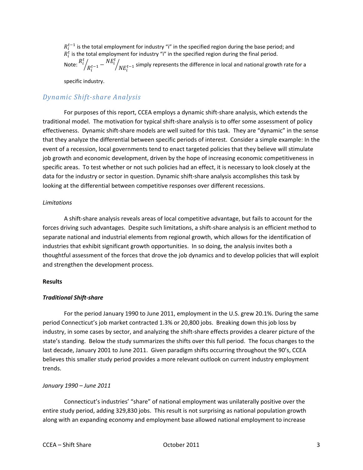$R_i^{t-1}$  is the total employment for industry "i" in the specified region during the base period; and  $R_i^t$  is the total employment for industry "i" in the specified region during the final period. Note:  $R_i^t$  $\bigg\{\bigg\}^{t-1} - {}^{NE^t_i}$  $N$  $_{l}$   $N$  $_{l}$   $_{l}$  simply represents the difference in local and national growth rate for a

specific industry.

# *Dynamic Shiftshare Analysis*

For purposes of this report, CCEA employs a dynamic shift‐share analysis, which extends the traditional model. The motivation for typical shift‐share analysis is to offer some assessment of policy effectiveness. Dynamic shift‐share models are well suited for this task. They are "dynamic" in the sense that they analyze the differential between specific periods of interest. Consider a simple example: In the event of a recession, local governments tend to enact targeted policies that they believe will stimulate job growth and economic development, driven by the hope of increasing economic competitiveness in specific areas. To test whether or not such policies had an effect, it is necessary to look closely at the data for the industry or sector in question. Dynamic shift-share analysis accomplishes this task by looking at the differential between competitive responses over different recessions.

## *Limitations*

A shift‐share analysis reveals areas of local competitive advantage, but fails to account for the forces driving such advantages. Despite such limitations, a shift‐share analysis is an efficient method to separate national and industrial elements from regional growth, which allows for the identification of industries that exhibit significant growth opportunities. In so doing, the analysis invites both a thoughtful assessment of the forces that drove the job dynamics and to develop policies that will exploit and strengthen the development process.

## **Results**

# *Traditional Shift‐share*

For the period January 1990 to June 2011, employment in the U.S. grew 20.1%. During the same period Connecticut's job market contracted 1.3% or 20,800 jobs. Breaking down this job loss by industry, in some cases by sector, and analyzing the shift‐share effects provides a clearer picture of the state's standing. Below the study summarizes the shifts over this full period. The focus changes to the last decade, January 2001 to June 2011. Given paradigm shifts occurring throughout the 90's, CCEA believes this smaller study period provides a more relevant outlook on current industry employment trends.

## *January 1990 – June 2011*

Connecticut's industries' "share" of national employment was unilaterally positive over the entire study period, adding 329,830 jobs. This result is not surprising as national population growth along with an expanding economy and employment base allowed national employment to increase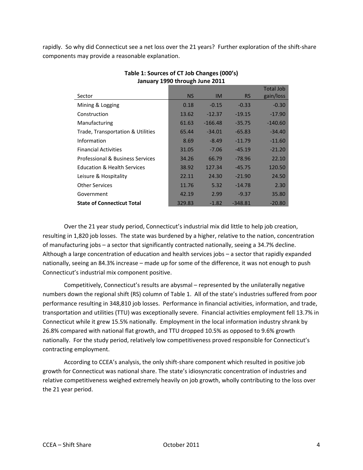rapidly. So why did Connecticut see a net loss over the 21 years? Further exploration of the shift‐share components may provide a reasonable explanation.

| Sector                                 | <b>NS</b> | <b>IM</b> | <b>RS</b> | <b>Total Job</b><br>gain/loss |
|----------------------------------------|-----------|-----------|-----------|-------------------------------|
|                                        |           |           |           |                               |
| Mining & Logging                       | 0.18      | $-0.15$   | $-0.33$   | $-0.30$                       |
| Construction                           | 13.62     | $-12.37$  | $-19.15$  | $-17.90$                      |
| Manufacturing                          | 61.63     | $-166.48$ | $-35.75$  | $-140.60$                     |
| Trade, Transportation & Utilities      | 65.44     | $-34.01$  | $-65.83$  | $-34.40$                      |
| Information                            | 8.69      | $-8.49$   | $-11.79$  | $-11.60$                      |
| <b>Financial Activities</b>            | 31.05     | $-7.06$   | $-45.19$  | $-21.20$                      |
| Professional & Business Services       | 34.26     | 66.79     | $-78.96$  | 22.10                         |
| <b>Education &amp; Health Services</b> | 38.92     | 127.34    | $-45.75$  | 120.50                        |
| Leisure & Hospitality                  | 22.11     | 24.30     | $-21.90$  | 24.50                         |
| <b>Other Services</b>                  | 11.76     | 5.32      | $-14.78$  | 2.30                          |
| Government                             | 42.19     | 2.99      | $-9.37$   | 35.80                         |
| <b>State of Connecticut Total</b>      | 329.83    | $-1.82$   | $-348.81$ | $-20.80$                      |

# **Table 1: Sources of CT Job Changes (000's) January 1990 through June 2011**

Over the 21 year study period, Connecticut's industrial mix did little to help job creation, resulting in 1,820 job losses. The state was burdened by a higher, relative to the nation, concentration of manufacturing jobs – a sector that significantly contracted nationally, seeing a 34.7% decline. Although a large concentration of education and health services jobs – a sector that rapidly expanded nationally, seeing an 84.3% increase – made up for some of the difference, it was not enough to push Connecticut's industrial mix component positive.

Competitively, Connecticut's results are abysmal – represented by the unilaterally negative numbers down the regional shift (RS) column of Table 1. All of the state's industries suffered from poor performance resulting in 348,810 job losses. Performance in financial activities, information, and trade, transportation and utilities (TTU) was exceptionally severe. Financial activities employment fell 13.7% in Connecticut while it grew 15.5% nationally. Employment in the local information industry shrank by 26.8% compared with national flat growth, and TTU dropped 10.5% as opposed to 9.6% growth nationally. For the study period, relatively low competitiveness proved responsible for Connecticut's contracting employment.

According to CCEA's analysis, the only shift‐share component which resulted in positive job growth for Connecticut was national share. The state's idiosyncratic concentration of industries and relative competitiveness weighed extremely heavily on job growth, wholly contributing to the loss over the 21 year period.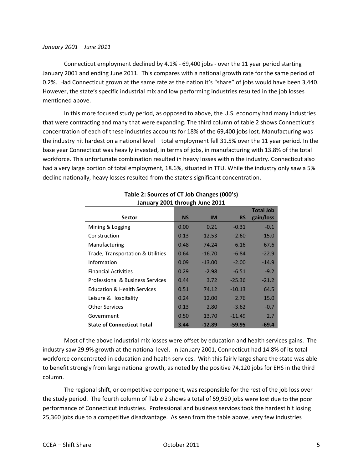Connecticut employment declined by 4.1% ‐ 69,400 jobs ‐ over the 11 year period starting January 2001 and ending June 2011. This compares with a national growth rate for the same period of 0.2%. Had Connecticut grown at the same rate as the nation it's "share" of jobs would have been 3,440. However, the state's specific industrial mix and low performing industries resulted in the job losses mentioned above.

In this more focused study period, as opposed to above, the U.S. economy had many industries that were contracting and many that were expanding. The third column of table 2 shows Connecticut's concentration of each of these industries accounts for 18% of the 69,400 jobs lost. Manufacturing was the industry hit hardest on a national level – total employment fell 31.5% over the 11 year period. In the base year Connecticut was heavily invested, in terms of jobs, in manufacturing with 13.8% of the total workforce. This unfortunate combination resulted in heavy losses within the industry. Connecticut also had a very large portion of total employment, 18.6%, situated in TTU. While the industry only saw a 5% decline nationally, heavy losses resulted from the state's significant concentration.

|                                        |           |           |           | <b>Total Job</b> |
|----------------------------------------|-----------|-----------|-----------|------------------|
| <b>Sector</b>                          | <b>NS</b> | <b>IM</b> | <b>RS</b> | gain/loss        |
| Mining & Logging                       | 0.00      | 0.21      | $-0.31$   | $-0.1$           |
| Construction                           | 0.13      | $-12.53$  | $-2.60$   | $-15.0$          |
| Manufacturing                          | 0.48      | $-74.24$  | 6.16      | $-67.6$          |
| Trade, Transportation & Utilities      | 0.64      | $-16.70$  | $-6.84$   | $-22.9$          |
| Information                            | 0.09      | $-13.00$  | $-2.00$   | $-14.9$          |
| <b>Financial Activities</b>            | 0.29      | $-2.98$   | $-6.51$   | $-9.2$           |
| Professional & Business Services       | 0.44      | 3.72      | $-25.36$  | $-21.2$          |
| <b>Education &amp; Health Services</b> | 0.51      | 74.12     | $-10.13$  | 64.5             |
| Leisure & Hospitality                  | 0.24      | 12.00     | 2.76      | 15.0             |
| <b>Other Services</b>                  | 0.13      | 2.80      | $-3.62$   | $-0.7$           |
| Government                             | 0.50      | 13.70     | $-11.49$  | 2.7              |
| <b>State of Connecticut Total</b>      | 3.44      | $-12.89$  | $-59.95$  | $-69.4$          |

# **Table 2: Sources of CT Job Changes (000's) January 2001 through June 2011**

Most of the above industrial mix losses were offset by education and health services gains. The industry saw 29.9% growth at the national level. In January 2001, Connecticut had 14.8% of its total workforce concentrated in education and health services. With this fairly large share the state was able to benefit strongly from large national growth, as noted by the positive 74,120 jobs for EHS in the third column.

The regional shift, or competitive component, was responsible for the rest of the job loss over the study period. The fourth column of Table 2 shows a total of 59,950 jobs were lost due to the poor performance of Connecticut industries. Professional and business services took the hardest hit losing 25,360 jobs due to a competitive disadvantage. As seen from the table above, very few industries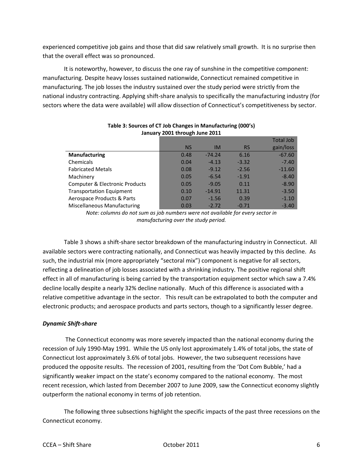experienced competitive job gains and those that did saw relatively small growth. It is no surprise then that the overall effect was so pronounced.

It is noteworthy, however, to discuss the one ray of sunshine in the competitive component: manufacturing. Despite heavy losses sustained nationwide, Connecticut remained competitive in manufacturing. The job losses the industry sustained over the study period were strictly from the national industry contracting. Applying shift‐share analysis to specifically the manufacturing industry (for sectors where the data were available) will allow dissection of Connecticut's competitiveness by sector.

|                                 |           |           |           | <b>Total Job</b> |
|---------------------------------|-----------|-----------|-----------|------------------|
|                                 | <b>NS</b> | <b>IM</b> | <b>RS</b> | gain/loss        |
| <b>Manufacturing</b>            | 0.48      | $-74.24$  | 6.16      | $-67.60$         |
| Chemicals                       | 0.04      | $-4.13$   | $-3.32$   | $-7.40$          |
| <b>Fabricated Metals</b>        | 0.08      | $-9.12$   | $-2.56$   | $-11.60$         |
| Machinery                       | 0.05      | $-6.54$   | $-1.91$   | $-8.40$          |
| Computer & Electronic Products  | 0.05      | $-9.05$   | 0.11      | $-8.90$          |
| <b>Transportation Equipment</b> | 0.10      | $-14.91$  | 11.31     | $-3.50$          |
| Aerospace Products & Parts      | 0.07      | $-1.56$   | 0.39      | $-1.10$          |
| Miscellaneous Manufacturing     | 0.03      | $-2.72$   | $-0.71$   | $-3.40$          |

#### **Table 3: Sources of CT Job Changes in Manufacturing (000's) January 2001 through June 2011**

*Note: columns do not sum as job numbers were not available for every sector in manufacturing over the study period.*

Table 3 shows a shift-share sector breakdown of the manufacturing industry in Connecticut. All available sectors were contracting nationally, and Connecticut was heavily impacted by this decline. As such, the industrial mix (more appropriately "sectoral mix") component is negative for all sectors, reflecting a delineation of job losses associated with a shrinking industry. The positive regional shift effect in all of manufacturing is being carried by the transportation equipment sector which saw a 7.4% decline locally despite a nearly 32% decline nationally. Much of this difference is associated with a relative competitive advantage in the sector. This result can be extrapolated to both the computer and electronic products; and aerospace products and parts sectors, though to a significantly lesser degree.

## *Dynamic Shift‐share*

The Connecticut economy was more severely impacted than the national economy during the recession of July 1990‐May 1991. While the US only lost approximately 1.4% of total jobs, the state of Connecticut lost approximately 3.6% of total jobs. However, the two subsequent recessions have produced the opposite results. The recession of 2001, resulting from the 'Dot Com Bubble,' had a significantly weaker impact on the state's economy compared to the national economy. The most recent recession, which lasted from December 2007 to June 2009, saw the Connecticut economy slightly outperform the national economy in terms of job retention.

The following three subsections highlight the specific impacts of the past three recessions on the Connecticut economy.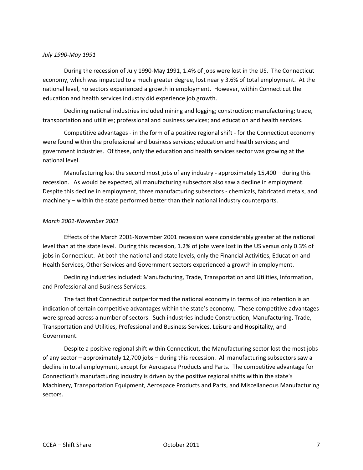#### *July 1990‐May 1991*

During the recession of July 1990‐May 1991, 1.4% of jobs were lost in the US. The Connecticut economy, which was impacted to a much greater degree, lost nearly 3.6% of total employment. At the national level, no sectors experienced a growth in employment. However, within Connecticut the education and health services industry did experience job growth.

Declining national industries included mining and logging; construction; manufacturing; trade, transportation and utilities; professional and business services; and education and health services.

Competitive advantages ‐ in the form of a positive regional shift ‐ for the Connecticut economy were found within the professional and business services; education and health services; and government industries. Of these, only the education and health services sector was growing at the national level.

Manufacturing lost the second most jobs of any industry - approximately 15,400 – during this recession. As would be expected, all manufacturing subsectors also saw a decline in employment. Despite this decline in employment, three manufacturing subsectors ‐ chemicals, fabricated metals, and machinery – within the state performed better than their national industry counterparts.

#### *March 2001‐November 2001*

Effects of the March 2001‐November 2001 recession were considerably greater at the national level than at the state level. During this recession, 1.2% of jobs were lost in the US versus only 0.3% of jobs in Connecticut. At both the national and state levels, only the Financial Activities, Education and Health Services, Other Services and Government sectors experienced a growth in employment.

Declining industries included: Manufacturing, Trade, Transportation and Utilities, Information, and Professional and Business Services.

The fact that Connecticut outperformed the national economy in terms of job retention is an indication of certain competitive advantages within the state's economy. These competitive advantages were spread across a number of sectors. Such industries include Construction, Manufacturing, Trade, Transportation and Utilities, Professional and Business Services, Leisure and Hospitality, and Government.

Despite a positive regional shift within Connecticut, the Manufacturing sector lost the most jobs of any sector – approximately 12,700 jobs – during this recession. All manufacturing subsectors saw a decline in total employment, except for Aerospace Products and Parts. The competitive advantage for Connecticut's manufacturing industry is driven by the positive regional shifts within the state's Machinery, Transportation Equipment, Aerospace Products and Parts, and Miscellaneous Manufacturing sectors.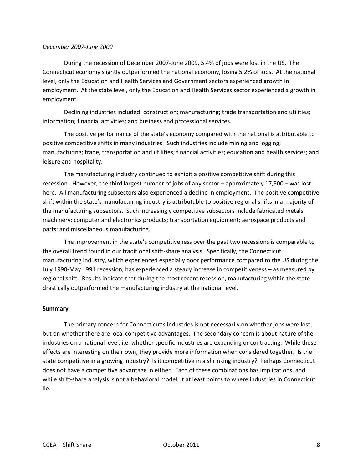#### *December 2007‐June 2009*

During the recession of December 2007‐June 2009, 5.4% of jobs were lost in the US. The Connecticut economy slightly outperformed the national economy, losing 5.2% of jobs. At the national level, only the Education and Health Services and Government sectors experienced growth in employment. At the state level, only the Education and Health Services sector experienced a growth in employment.

Declining industries included: construction; manufacturing; trade transportation and utilities; information; financial activities; and business and professional services.

The positive performance of the state's economy compared with the national is attributable to positive competitive shifts in many industries. Such industries include mining and logging; manufacturing; trade, transportation and utilities; financial activities; education and health services; and leisure and hospitality.

The manufacturing industry continued to exhibit a positive competitive shift during this recession. However, the third largest number of jobs of any sector – approximately 17,900 – was lost here. All manufacturing subsectors also experienced a decline in employment. The positive competitive shift within the state's manufacturing industry is attributable to positive regional shifts in a majority of the manufacturing subsectors. Such increasingly competitive subsectors include fabricated metals; machinery; computer and electronics products; transportation equipment; aerospace products and parts; and miscellaneous manufacturing.

The improvement in the state's competitiveness over the past two recessions is comparable to the overall trend found in our traditional shift‐share analysis. Specifically, the Connecticut manufacturing industry, which experienced especially poor performance compared to the US during the July 1990‐May 1991 recession, has experienced a steady increase in competitiveness – as measured by regional shift. Results indicate that during the most recent recession, manufacturing within the state drastically outperformed the manufacturing industry at the national level.

#### **Summary**

The primary concern for Connecticut's industries is not necessarily on whether jobs were lost, but on whether there are local competitive advantages. The secondary concern is about nature of the industries on a national level, i.e. whether specific industries are expanding or contracting. While these effects are interesting on their own, they provide more information when considered together. Is the state competitive in a growing industry? Is it competitive in a shrinking industry? Perhaps Connecticut does not have a competitive advantage in either. Each of these combinations has implications, and while shift-share analysis is not a behavioral model, it at least points to where industries in Connecticut lie.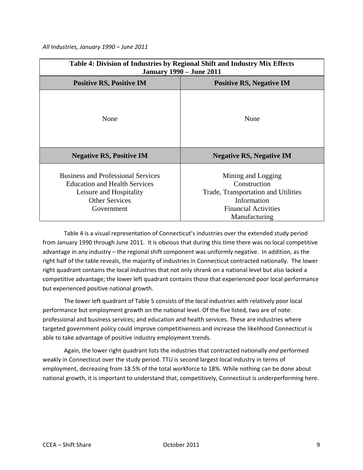*All Industries, January 1990 – June 2011*

| Table 4: Division of Industries by Regional Shift and Industry Mix Effects<br><b>January 1990 – June 2011</b>                                       |                                                                                                                                          |  |
|-----------------------------------------------------------------------------------------------------------------------------------------------------|------------------------------------------------------------------------------------------------------------------------------------------|--|
| <b>Positive RS, Positive IM</b>                                                                                                                     | <b>Positive RS, Negative IM</b>                                                                                                          |  |
| None                                                                                                                                                | None                                                                                                                                     |  |
| <b>Negative RS, Positive IM</b>                                                                                                                     | <b>Negative RS, Negative IM</b>                                                                                                          |  |
| <b>Business and Professional Services</b><br><b>Education and Health Services</b><br>Leisure and Hospitality<br><b>Other Services</b><br>Government | Mining and Logging<br>Construction<br>Trade, Transportation and Utilities<br>Information<br><b>Financial Activities</b><br>Manufacturing |  |

Table 4 is a visual representation of Connecticut's industries over the extended study period from January 1990 through June 2011. It is obvious that during this time there was no local competitive advantage in any industry – the regional shift component was uniformly negative. In addition, as the right half of the table reveals, the majority of industries in Connecticut contracted nationally. The lower right quadrant contains the local industries that not only shrank on a national level but also lacked a competitive advantage; the lower left quadrant contains those that experienced poor local performance but experienced positive national growth.

The lower left quadrant of Table 5 consists of the local industries with relatively poor local performance but employment growth on the national level. Of the five listed, two are of note: professional and business services; and education and health services. These are industries where targeted government policy could improve competitiveness and increase the likelihood Connecticut is able to take advantage of positive industry employment trends.

Again, the lower right quadrant lists the industries that contracted nationally *and* performed weakly in Connecticut over the study period. TTU is second largest local industry in terms of employment, decreasing from 18.5% of the total workforce to 18%. While nothing can be done about national growth, it is important to understand that, competitively, Connecticut is underperforming here.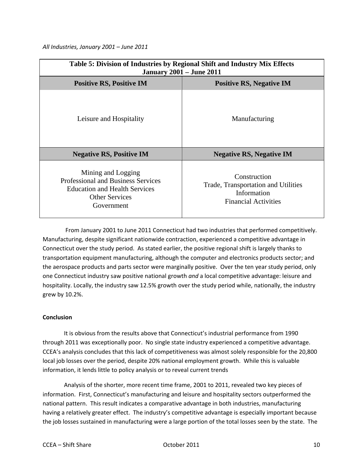*All Industries, January 2001 – June 2011*

| Table 5: Division of Industries by Regional Shift and Industry Mix Effects<br><b>January 2001 - June 2011</b>                                  |                                                                                                   |  |
|------------------------------------------------------------------------------------------------------------------------------------------------|---------------------------------------------------------------------------------------------------|--|
| <b>Positive RS, Positive IM</b>                                                                                                                | <b>Positive RS, Negative IM</b>                                                                   |  |
| Leisure and Hospitality                                                                                                                        | Manufacturing                                                                                     |  |
| <b>Negative RS, Positive IM</b>                                                                                                                | <b>Negative RS, Negative IM</b>                                                                   |  |
| Mining and Logging<br><b>Professional and Business Services</b><br><b>Education and Health Services</b><br><b>Other Services</b><br>Government | Construction<br>Trade, Transportation and Utilities<br>Information<br><b>Financial Activities</b> |  |

 From January 2001 to June 2011 Connecticut had two industries that performed competitively. Manufacturing, despite significant nationwide contraction, experienced a competitive advantage in Connecticut over the study period. As stated earlier, the positive regional shift is largely thanks to transportation equipment manufacturing, although the computer and electronics products sector; and the aerospace products and parts sector were marginally positive. Over the ten year study period, only one Connecticut industry saw positive national growth *and* a local competitive advantage: leisure and hospitality. Locally, the industry saw 12.5% growth over the study period while, nationally, the industry grew by 10.2%.

## **Conclusion**

It is obvious from the results above that Connecticut's industrial performance from 1990 through 2011 was exceptionally poor. No single state industry experienced a competitive advantage. CCEA's analysis concludes that this lack of competitiveness was almost solely responsible for the 20,800 local job losses over the period, despite 20% national employment growth. While this is valuable information, it lends little to policy analysis or to reveal current trends

Analysis of the shorter, more recent time frame, 2001 to 2011, revealed two key pieces of information. First, Connecticut's manufacturing and leisure and hospitality sectors outperformed the national pattern. This result indicates a comparative advantage in both industries, manufacturing having a relatively greater effect. The industry's competitive advantage is especially important because the job losses sustained in manufacturing were a large portion of the total losses seen by the state. The